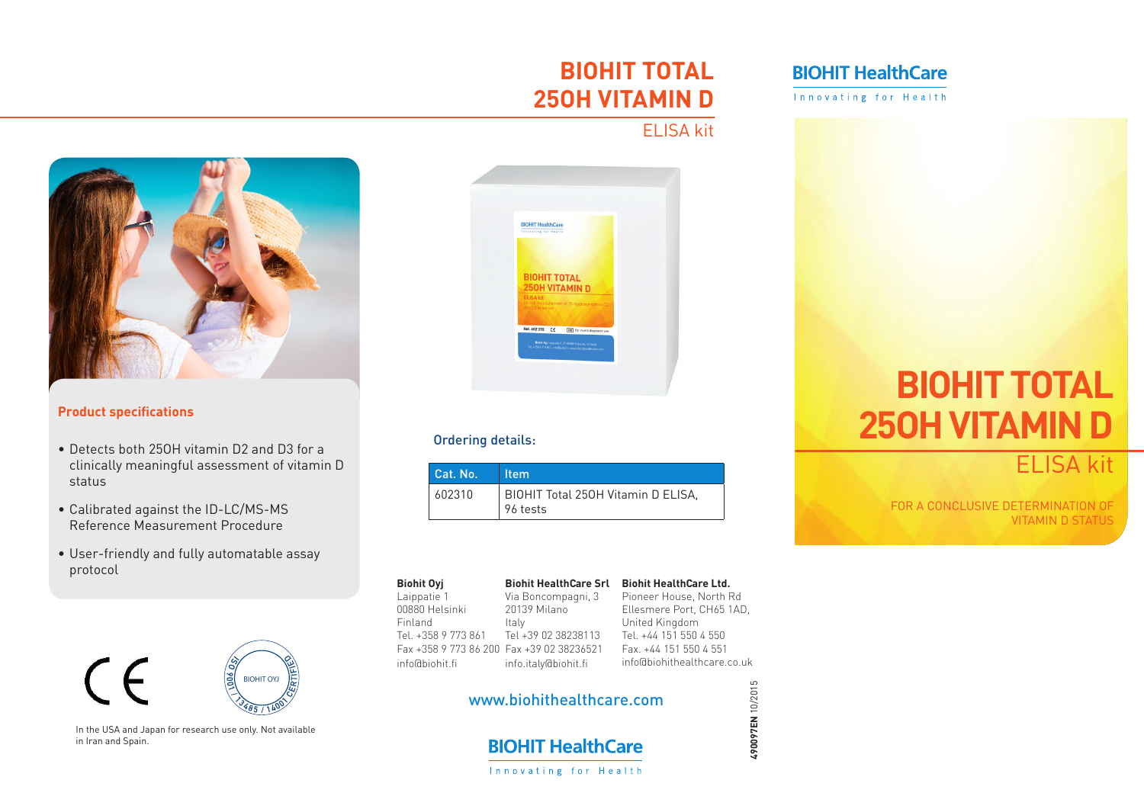## **BIOHIT HealthCare**

Innovating for Health

# **BIOHIT TOTAL 25OH VITAMIN D**

### ELISA kit



### **Product specifications**

- Detects both 250H vitamin D2 and D3 for a clinically meaningful assessment of vitamin D status
- • Calibrated against the ID-LC/MS-MS Reference Measurement Procedure
- User-friendly and fully automatable assay protocol





In the USA and Japan for research use only. Not available in Iran and Spain.



### Ordering details:

| Cat. No. | ∣ltem                                          |
|----------|------------------------------------------------|
| 602310   | BIOHIT Total 250H Vitamin D ELISA,<br>96 tests |

#### **Biohit Oyj** Laippatie 1 00880 Helsinki Finland Tel. +358 9 773 861 Fax +358 9 773 86 200 Fax +39 02 38236521 info@biohit.fi **Biohit HealthCare Srl** Via Boncompagni, 3 20139 Milano Italy Tel +39 02 38238113 info.italy@biohit.fi

### **Biohit HealthCare Ltd.** Pioneer House, North Rd Ellesmere Port, CH65 1AD, United Kingdom Tel. +44 151 550 4 550 Fax. +44 151 550 4 551 info@biohithealthcare.co.uk

**490097EN** 10/2015

490097EN 10/2015

### www.biohithealthcare.com



# **BIOHIT TOTAL 25OH VITAMIN D**

ELISA kit

**H.P. H.P. H.P. H.P. H.P. H.P. H.P. H.**<br>FOR A CONCLUSIVE DETERMINATION OF VITAMIN D STATUS